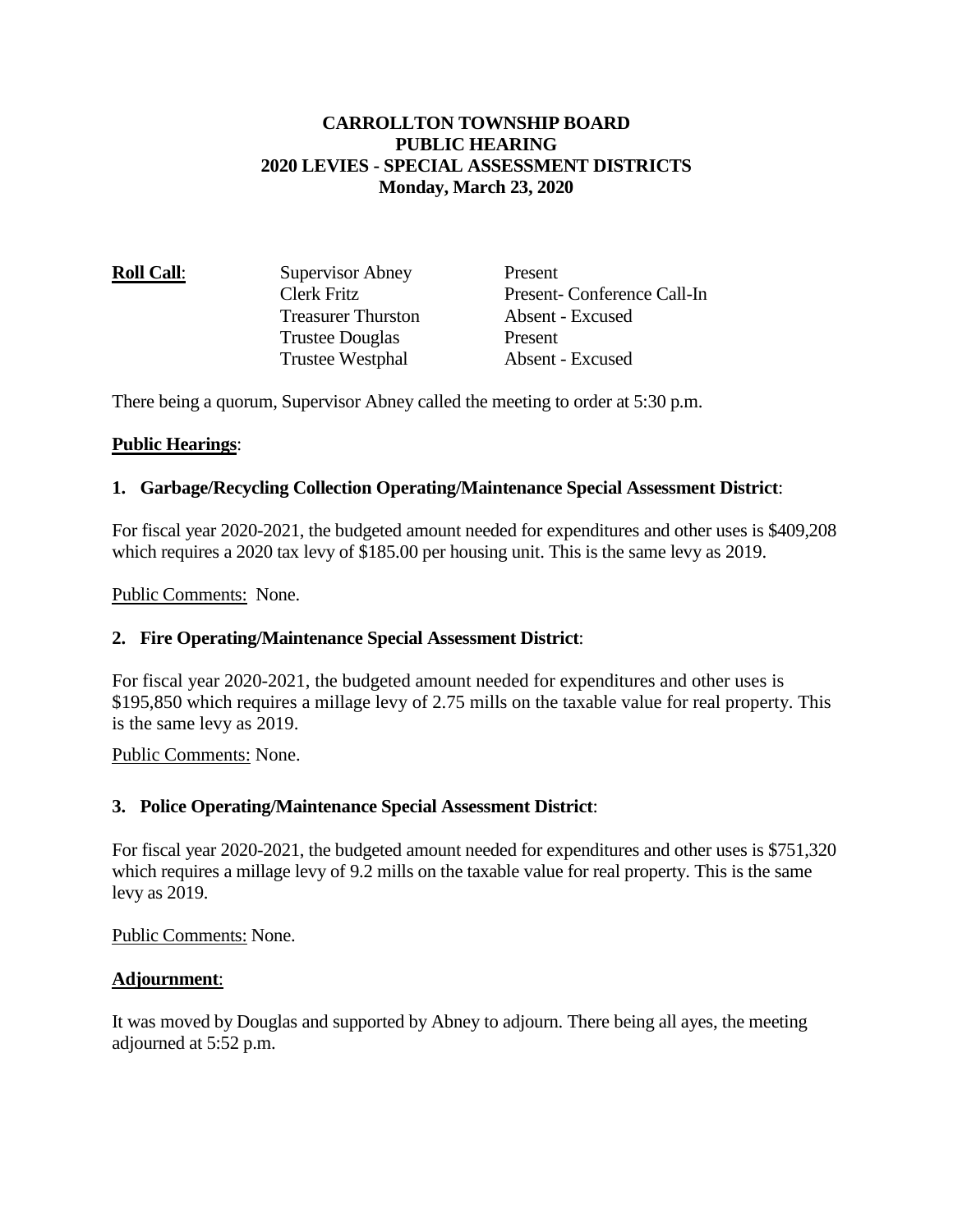## **CARROLLTON TOWNSHIP BOARD PUBLIC HEARING 2020 LEVIES - SPECIAL ASSESSMENT DISTRICTS Monday, March 23, 2020**

| <b>Roll Call:</b> | Supervisor Abney          | Present                    |
|-------------------|---------------------------|----------------------------|
|                   | Clerk Fritz               | Present-Conference Call-In |
|                   | <b>Treasurer Thurston</b> | Absent - Excused           |
|                   | <b>Trustee Douglas</b>    | Present                    |
|                   | <b>Trustee Westphal</b>   | Absent - Excused           |
|                   |                           |                            |

There being a quorum, Supervisor Abney called the meeting to order at 5:30 p.m.

## **Public Hearings**:

## **1. Garbage/Recycling Collection Operating/Maintenance Special Assessment District**:

For fiscal year 2020-2021, the budgeted amount needed for expenditures and other uses is \$409,208 which requires a 2020 tax levy of \$185.00 per housing unit. This is the same levy as 2019.

Public Comments: None.

#### **2. Fire Operating/Maintenance Special Assessment District**:

For fiscal year 2020-2021, the budgeted amount needed for expenditures and other uses is \$195,850 which requires a millage levy of 2.75 mills on the taxable value for real property. This is the same levy as 2019.

Public Comments: None.

#### **3. Police Operating/Maintenance Special Assessment District**:

For fiscal year 2020-2021, the budgeted amount needed for expenditures and other uses is \$751,320 which requires a millage levy of 9.2 mills on the taxable value for real property. This is the same levy as 2019.

Public Comments: None.

# **Adjournment**:

It was moved by Douglas and supported by Abney to adjourn. There being all ayes, the meeting adjourned at 5:52 p.m.